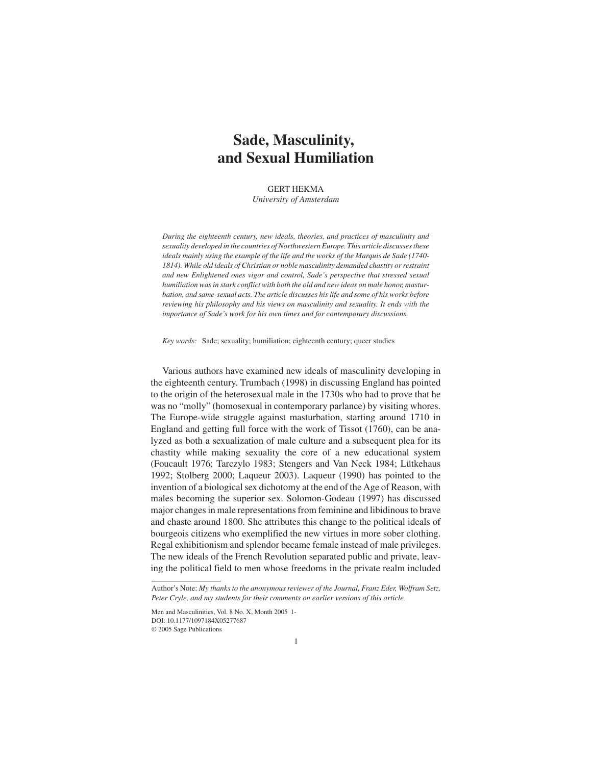# **Sade, Masculinity, and Sexual Humiliation**

GERT HEKMA

*University of Amsterdam*

*During the eighteenth century, new ideals, theories, and practices of masculinity and sexuality developed in the countries of Northwestern Europe. This article discusses these ideals mainly using the example of the life and the works of the Marquis de Sade (1740- 1814). While old ideals of Christian or noble masculinity demanded chastity or restraint and new Enlightened ones vigor and control, Sade's perspective that stressed sexual humiliation was in stark conflict with both the old and new ideas on male honor, masturbation, and same-sexual acts. The article discusses his life and some of his works before reviewing his philosophy and his views on masculinity and sexuality. It ends with the importance of Sade's work for his own times and for contemporary discussions.*

*Key words:* Sade; sexuality; humiliation; eighteenth century; queer studies

Various authors have examined new ideals of masculinity developing in the eighteenth century. Trumbach (1998) in discussing England has pointed to the origin of the heterosexual male in the 1730s who had to prove that he was no "molly" (homosexual in contemporary parlance) by visiting whores. The Europe-wide struggle against masturbation, starting around 1710 in England and getting full force with the work of Tissot (1760), can be analyzed as both a sexualization of male culture and a subsequent plea for its chastity while making sexuality the core of a new educational system (Foucault 1976; Tarczylo 1983; Stengers and Van Neck 1984; Lütkehaus 1992; Stolberg 2000; Laqueur 2003). Laqueur (1990) has pointed to the invention of a biological sex dichotomy at the end of the Age of Reason, with males becoming the superior sex. Solomon-Godeau (1997) has discussed major changes in male representations from feminine and libidinous to brave and chaste around 1800. She attributes this change to the political ideals of bourgeois citizens who exemplified the new virtues in more sober clothing. Regal exhibitionism and splendor became female instead of male privileges. The new ideals of the French Revolution separated public and private, leaving the political field to men whose freedoms in the private realm included

Author's Note: *My thanks to the anonymous reviewer of the Journal, Franz Eder, Wolfram Setz, Peter Cryle, and my students for their comments on earlier versions of this article.*

Men and Masculinities, Vol. 8 No. X, Month 2005 1- DOI: 10.1177/1097184X05277687 © 2005 Sage Publications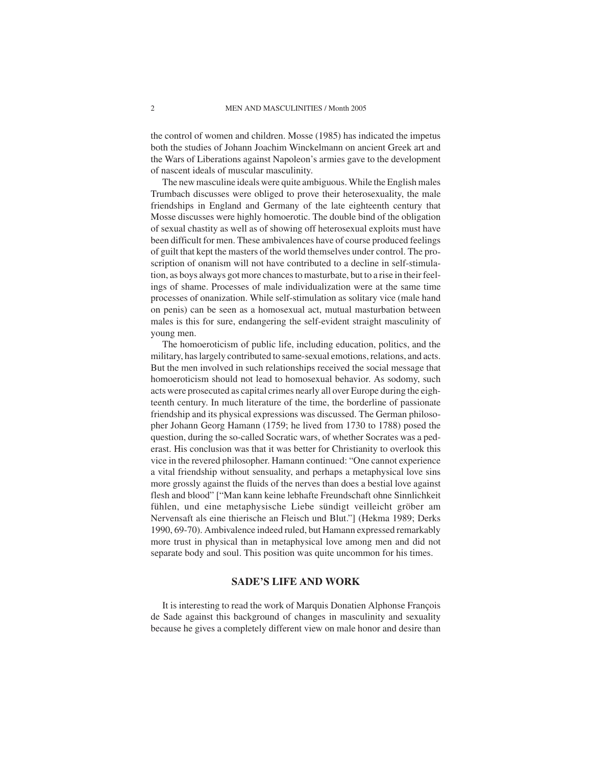the control of women and children. Mosse (1985) has indicated the impetus both the studies of Johann Joachim Winckelmann on ancient Greek art and the Wars of Liberations against Napoleon's armies gave to the development of nascent ideals of muscular masculinity.

The new masculine ideals were quite ambiguous. While the English males Trumbach discusses were obliged to prove their heterosexuality, the male friendships in England and Germany of the late eighteenth century that Mosse discusses were highly homoerotic. The double bind of the obligation of sexual chastity as well as of showing off heterosexual exploits must have been difficult for men. These ambivalences have of course produced feelings of guilt that kept the masters of the world themselves under control. The proscription of onanism will not have contributed to a decline in self-stimulation, as boys always got more chances to masturbate, but to a rise in their feelings of shame. Processes of male individualization were at the same time processes of onanization. While self-stimulation as solitary vice (male hand on penis) can be seen as a homosexual act, mutual masturbation between males is this for sure, endangering the self-evident straight masculinity of young men.

The homoeroticism of public life, including education, politics, and the military, has largely contributed to same-sexual emotions, relations, and acts. But the men involved in such relationships received the social message that homoeroticism should not lead to homosexual behavior. As sodomy, such acts were prosecuted as capital crimes nearly all over Europe during the eighteenth century. In much literature of the time, the borderline of passionate friendship and its physical expressions was discussed. The German philosopher Johann Georg Hamann (1759; he lived from 1730 to 1788) posed the question, during the so-called Socratic wars, of whether Socrates was a pederast. His conclusion was that it was better for Christianity to overlook this vice in the revered philosopher. Hamann continued: "One cannot experience a vital friendship without sensuality, and perhaps a metaphysical love sins more grossly against the fluids of the nerves than does a bestial love against flesh and blood" ["Man kann keine lebhafte Freundschaft ohne Sinnlichkeit fühlen, und eine metaphysische Liebe sündigt veilleicht gröber am Nervensaft als eine thierische an Fleisch und Blut."] (Hekma 1989; Derks 1990, 69-70). Ambivalence indeed ruled, but Hamann expressed remarkably more trust in physical than in metaphysical love among men and did not separate body and soul. This position was quite uncommon for his times.

# **SADE'S LIFE AND WORK**

It is interesting to read the work of Marquis Donatien Alphonse François de Sade against this background of changes in masculinity and sexuality because he gives a completely different view on male honor and desire than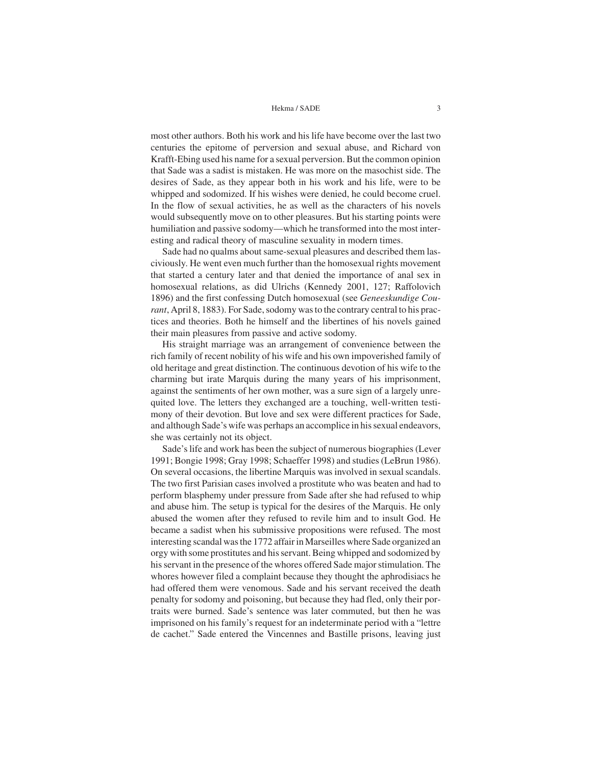most other authors. Both his work and his life have become over the last two centuries the epitome of perversion and sexual abuse, and Richard von Krafft-Ebing used his name for a sexual perversion. But the common opinion that Sade was a sadist is mistaken. He was more on the masochist side. The desires of Sade, as they appear both in his work and his life, were to be whipped and sodomized. If his wishes were denied, he could become cruel. In the flow of sexual activities, he as well as the characters of his novels would subsequently move on to other pleasures. But his starting points were humiliation and passive sodomy—which he transformed into the most interesting and radical theory of masculine sexuality in modern times.

Sade had no qualms about same-sexual pleasures and described them lasciviously. He went even much further than the homosexual rights movement that started a century later and that denied the importance of anal sex in homosexual relations, as did Ulrichs (Kennedy 2001, 127; Raffolovich 1896) and the first confessing Dutch homosexual (see *Geneeskundige Courant*, April 8, 1883). For Sade, sodomy was to the contrary central to his practices and theories. Both he himself and the libertines of his novels gained their main pleasures from passive and active sodomy.

His straight marriage was an arrangement of convenience between the rich family of recent nobility of his wife and his own impoverished family of old heritage and great distinction. The continuous devotion of his wife to the charming but irate Marquis during the many years of his imprisonment, against the sentiments of her own mother, was a sure sign of a largely unrequited love. The letters they exchanged are a touching, well-written testimony of their devotion. But love and sex were different practices for Sade, and although Sade's wife was perhaps an accomplice in his sexual endeavors, she was certainly not its object.

Sade's life and work has been the subject of numerous biographies (Lever 1991; Bongie 1998; Gray 1998; Schaeffer 1998) and studies (LeBrun 1986). On several occasions, the libertine Marquis was involved in sexual scandals. The two first Parisian cases involved a prostitute who was beaten and had to perform blasphemy under pressure from Sade after she had refused to whip and abuse him. The setup is typical for the desires of the Marquis. He only abused the women after they refused to revile him and to insult God. He became a sadist when his submissive propositions were refused. The most interesting scandal was the 1772 affair in Marseilles where Sade organized an orgy with some prostitutes and his servant. Being whipped and sodomized by his servant in the presence of the whores offered Sade major stimulation. The whores however filed a complaint because they thought the aphrodisiacs he had offered them were venomous. Sade and his servant received the death penalty for sodomy and poisoning, but because they had fled, only their portraits were burned. Sade's sentence was later commuted, but then he was imprisoned on his family's request for an indeterminate period with a "lettre de cachet." Sade entered the Vincennes and Bastille prisons, leaving just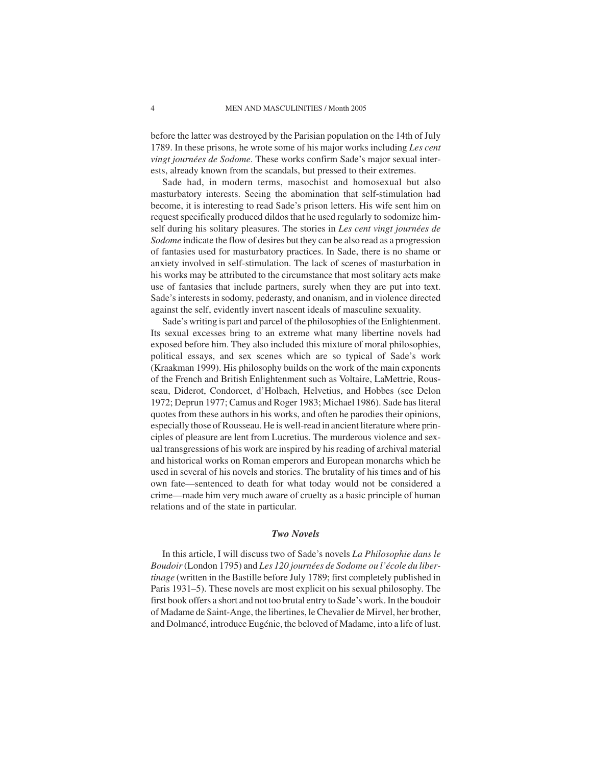before the latter was destroyed by the Parisian population on the 14th of July 1789. In these prisons, he wrote some of his major works including *Les cent vingt journées de Sodome*. These works confirm Sade's major sexual interests, already known from the scandals, but pressed to their extremes.

Sade had, in modern terms, masochist and homosexual but also masturbatory interests. Seeing the abomination that self-stimulation had become, it is interesting to read Sade's prison letters. His wife sent him on request specifically produced dildos that he used regularly to sodomize himself during his solitary pleasures. The stories in *Les cent vingt journées de Sodome* indicate the flow of desires but they can be also read as a progression of fantasies used for masturbatory practices. In Sade, there is no shame or anxiety involved in self-stimulation. The lack of scenes of masturbation in his works may be attributed to the circumstance that most solitary acts make use of fantasies that include partners, surely when they are put into text. Sade's interests in sodomy, pederasty, and onanism, and in violence directed against the self, evidently invert nascent ideals of masculine sexuality.

Sade's writing is part and parcel of the philosophies of the Enlightenment. Its sexual excesses bring to an extreme what many libertine novels had exposed before him. They also included this mixture of moral philosophies, political essays, and sex scenes which are so typical of Sade's work (Kraakman 1999). His philosophy builds on the work of the main exponents of the French and British Enlightenment such as Voltaire, LaMettrie, Rousseau, Diderot, Condorcet, d'Holbach, Helvetius, and Hobbes (see Delon 1972; Deprun 1977; Camus and Roger 1983; Michael 1986). Sade has literal quotes from these authors in his works, and often he parodies their opinions, especially those of Rousseau. He is well-read in ancient literature where principles of pleasure are lent from Lucretius. The murderous violence and sexual transgressions of his work are inspired by his reading of archival material and historical works on Roman emperors and European monarchs which he used in several of his novels and stories. The brutality of his times and of his own fate—sentenced to death for what today would not be considered a crime—made him very much aware of cruelty as a basic principle of human relations and of the state in particular.

## *Two Novels*

In this article, I will discuss two of Sade's novels *La Philosophie dans le Boudoir*(London 1795) and *Les 120 journées de Sodome ou l'école du libertinage* (written in the Bastille before July 1789; first completely published in Paris 1931–5). These novels are most explicit on his sexual philosophy. The first book offers a short and not too brutal entry to Sade's work. In the boudoir of Madame de Saint-Ange, the libertines, le Chevalier de Mirvel, her brother, and Dolmancé, introduce Eugénie, the beloved of Madame, into a life of lust.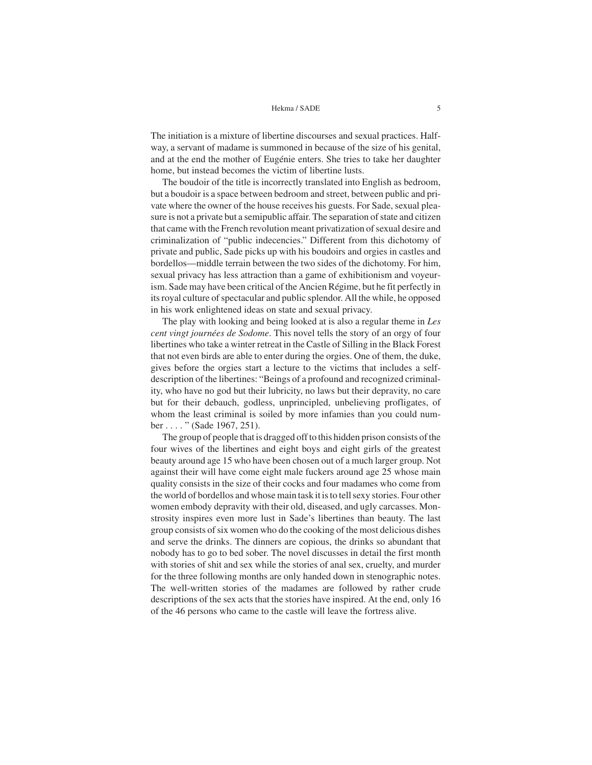The initiation is a mixture of libertine discourses and sexual practices. Halfway, a servant of madame is summoned in because of the size of his genital, and at the end the mother of Eugénie enters. She tries to take her daughter home, but instead becomes the victim of libertine lusts.

The boudoir of the title is incorrectly translated into English as bedroom, but a boudoir is a space between bedroom and street, between public and private where the owner of the house receives his guests. For Sade, sexual pleasure is not a private but a semipublic affair. The separation of state and citizen that came with the French revolution meant privatization of sexual desire and criminalization of "public indecencies." Different from this dichotomy of private and public, Sade picks up with his boudoirs and orgies in castles and bordellos—middle terrain between the two sides of the dichotomy. For him, sexual privacy has less attraction than a game of exhibitionism and voyeurism. Sade may have been critical of the Ancien Régime, but he fit perfectly in its royal culture of spectacular and public splendor. All the while, he opposed in his work enlightened ideas on state and sexual privacy.

The play with looking and being looked at is also a regular theme in *Les cent vingt journées de Sodome*. This novel tells the story of an orgy of four libertines who take a winter retreat in the Castle of Silling in the Black Forest that not even birds are able to enter during the orgies. One of them, the duke, gives before the orgies start a lecture to the victims that includes a selfdescription of the libertines: "Beings of a profound and recognized criminality, who have no god but their lubricity, no laws but their depravity, no care but for their debauch, godless, unprincipled, unbelieving profligates, of whom the least criminal is soiled by more infamies than you could number . . . . " (Sade 1967, 251).

The group of people that is dragged off to this hidden prison consists of the four wives of the libertines and eight boys and eight girls of the greatest beauty around age 15 who have been chosen out of a much larger group. Not against their will have come eight male fuckers around age 25 whose main quality consists in the size of their cocks and four madames who come from the world of bordellos and whose main task it is to tell sexy stories. Four other women embody depravity with their old, diseased, and ugly carcasses. Monstrosity inspires even more lust in Sade's libertines than beauty. The last group consists of six women who do the cooking of the most delicious dishes and serve the drinks. The dinners are copious, the drinks so abundant that nobody has to go to bed sober. The novel discusses in detail the first month with stories of shit and sex while the stories of anal sex, cruelty, and murder for the three following months are only handed down in stenographic notes. The well-written stories of the madames are followed by rather crude descriptions of the sex acts that the stories have inspired. At the end, only 16 of the 46 persons who came to the castle will leave the fortress alive.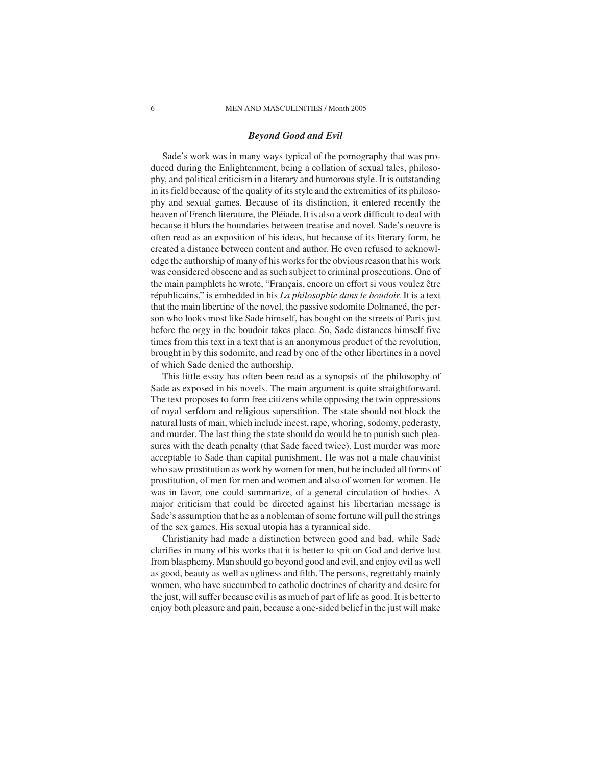## *Beyond Good and Evil*

Sade's work was in many ways typical of the pornography that was produced during the Enlightenment, being a collation of sexual tales, philosophy, and political criticism in a literary and humorous style. It is outstanding in its field because of the quality of its style and the extremities of its philosophy and sexual games. Because of its distinction, it entered recently the heaven of French literature, the Pléiade. It is also a work difficult to deal with because it blurs the boundaries between treatise and novel. Sade's oeuvre is often read as an exposition of his ideas, but because of its literary form, he created a distance between content and author. He even refused to acknowledge the authorship of many of his works for the obvious reason that his work was considered obscene and as such subject to criminal prosecutions. One of the main pamphlets he wrote, "Français, encore un effort si vous voulez être républicains," is embedded in his *La philosophie dans le boudoir*. It is a text that the main libertine of the novel, the passive sodomite Dolmancé, the person who looks most like Sade himself, has bought on the streets of Paris just before the orgy in the boudoir takes place. So, Sade distances himself five times from this text in a text that is an anonymous product of the revolution, brought in by this sodomite, and read by one of the other libertines in a novel of which Sade denied the authorship.

This little essay has often been read as a synopsis of the philosophy of Sade as exposed in his novels. The main argument is quite straightforward. The text proposes to form free citizens while opposing the twin oppressions of royal serfdom and religious superstition. The state should not block the natural lusts of man, which include incest, rape, whoring, sodomy, pederasty, and murder. The last thing the state should do would be to punish such pleasures with the death penalty (that Sade faced twice). Lust murder was more acceptable to Sade than capital punishment. He was not a male chauvinist who saw prostitution as work by women for men, but he included all forms of prostitution, of men for men and women and also of women for women. He was in favor, one could summarize, of a general circulation of bodies. A major criticism that could be directed against his libertarian message is Sade's assumption that he as a nobleman of some fortune will pull the strings of the sex games. His sexual utopia has a tyrannical side.

Christianity had made a distinction between good and bad, while Sade clarifies in many of his works that it is better to spit on God and derive lust from blasphemy. Man should go beyond good and evil, and enjoy evil as well as good, beauty as well as ugliness and filth. The persons, regrettably mainly women, who have succumbed to catholic doctrines of charity and desire for the just, will suffer because evil is as much of part of life as good. It is better to enjoy both pleasure and pain, because a one-sided belief in the just will make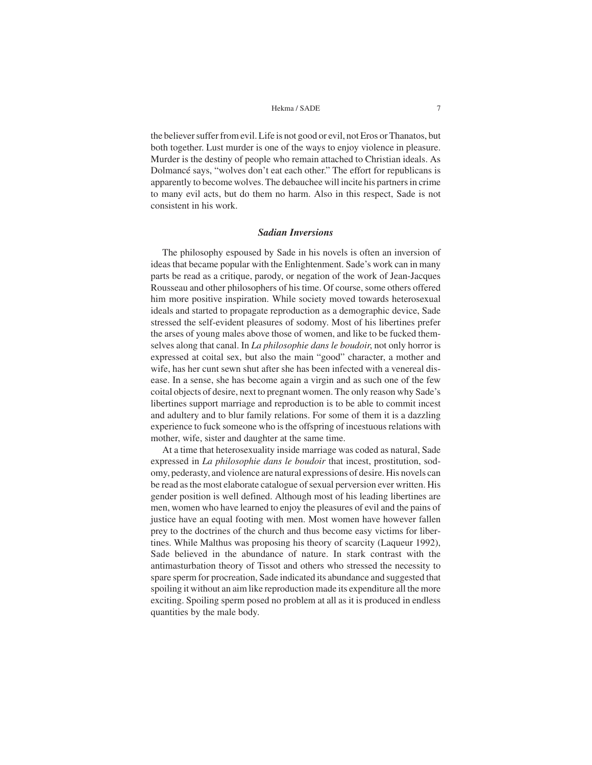the believer suffer from evil. Life is not good or evil, not Eros or Thanatos, but both together. Lust murder is one of the ways to enjoy violence in pleasure. Murder is the destiny of people who remain attached to Christian ideals. As Dolmancé says, "wolves don't eat each other." The effort for republicans is apparently to become wolves. The debauchee will incite his partners in crime to many evil acts, but do them no harm. Also in this respect, Sade is not consistent in his work.

## *Sadian Inversions*

The philosophy espoused by Sade in his novels is often an inversion of ideas that became popular with the Enlightenment. Sade's work can in many parts be read as a critique, parody, or negation of the work of Jean-Jacques Rousseau and other philosophers of his time. Of course, some others offered him more positive inspiration. While society moved towards heterosexual ideals and started to propagate reproduction as a demographic device, Sade stressed the self-evident pleasures of sodomy. Most of his libertines prefer the arses of young males above those of women, and like to be fucked themselves along that canal. In *La philosophie dans le boudoir*, not only horror is expressed at coital sex, but also the main "good" character, a mother and wife, has her cunt sewn shut after she has been infected with a venereal disease. In a sense, she has become again a virgin and as such one of the few coital objects of desire, next to pregnant women. The only reason why Sade's libertines support marriage and reproduction is to be able to commit incest and adultery and to blur family relations. For some of them it is a dazzling experience to fuck someone who is the offspring of incestuous relations with mother, wife, sister and daughter at the same time.

At a time that heterosexuality inside marriage was coded as natural, Sade expressed in *La philosophie dans le boudoir* that incest, prostitution, sodomy, pederasty, and violence are natural expressions of desire. His novels can be read as the most elaborate catalogue of sexual perversion ever written. His gender position is well defined. Although most of his leading libertines are men, women who have learned to enjoy the pleasures of evil and the pains of justice have an equal footing with men. Most women have however fallen prey to the doctrines of the church and thus become easy victims for libertines. While Malthus was proposing his theory of scarcity (Laqueur 1992), Sade believed in the abundance of nature. In stark contrast with the antimasturbation theory of Tissot and others who stressed the necessity to spare sperm for procreation, Sade indicated its abundance and suggested that spoiling it without an aim like reproduction made its expenditure all the more exciting. Spoiling sperm posed no problem at all as it is produced in endless quantities by the male body.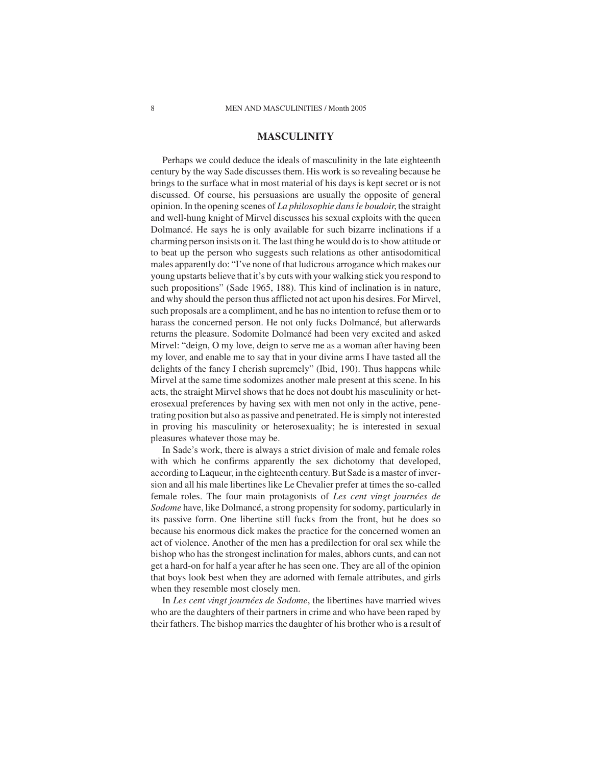# **MASCULINITY**

Perhaps we could deduce the ideals of masculinity in the late eighteenth century by the way Sade discusses them. His work is so revealing because he brings to the surface what in most material of his days is kept secret or is not discussed. Of course, his persuasions are usually the opposite of general opinion. In the opening scenes of *La philosophie dans le boudoir*, the straight and well-hung knight of Mirvel discusses his sexual exploits with the queen Dolmancé. He says he is only available for such bizarre inclinations if a charming person insists on it. The last thing he would do is to show attitude or to beat up the person who suggests such relations as other antisodomitical males apparently do: "I've none of that ludicrous arrogance which makes our young upstarts believe that it's by cuts with your walking stick you respond to such propositions" (Sade 1965, 188). This kind of inclination is in nature, and why should the person thus afflicted not act upon his desires. For Mirvel, such proposals are a compliment, and he has no intention to refuse them or to harass the concerned person. He not only fucks Dolmancé, but afterwards returns the pleasure. Sodomite Dolmancé had been very excited and asked Mirvel: "deign, O my love, deign to serve me as a woman after having been my lover, and enable me to say that in your divine arms I have tasted all the delights of the fancy I cherish supremely" (Ibid, 190). Thus happens while Mirvel at the same time sodomizes another male present at this scene. In his acts, the straight Mirvel shows that he does not doubt his masculinity or heterosexual preferences by having sex with men not only in the active, penetrating position but also as passive and penetrated. He is simply not interested in proving his masculinity or heterosexuality; he is interested in sexual pleasures whatever those may be.

In Sade's work, there is always a strict division of male and female roles with which he confirms apparently the sex dichotomy that developed, according to Laqueur, in the eighteenth century. But Sade is a master of inversion and all his male libertines like Le Chevalier prefer at times the so-called female roles. The four main protagonists of *Les cent vingt journées de Sodome* have, like Dolmancé, a strong propensity for sodomy, particularly in its passive form. One libertine still fucks from the front, but he does so because his enormous dick makes the practice for the concerned women an act of violence. Another of the men has a predilection for oral sex while the bishop who has the strongest inclination for males, abhors cunts, and can not get a hard-on for half a year after he has seen one. They are all of the opinion that boys look best when they are adorned with female attributes, and girls when they resemble most closely men.

In *Les cent vingt journées de Sodome*, the libertines have married wives who are the daughters of their partners in crime and who have been raped by their fathers. The bishop marries the daughter of his brother who is a result of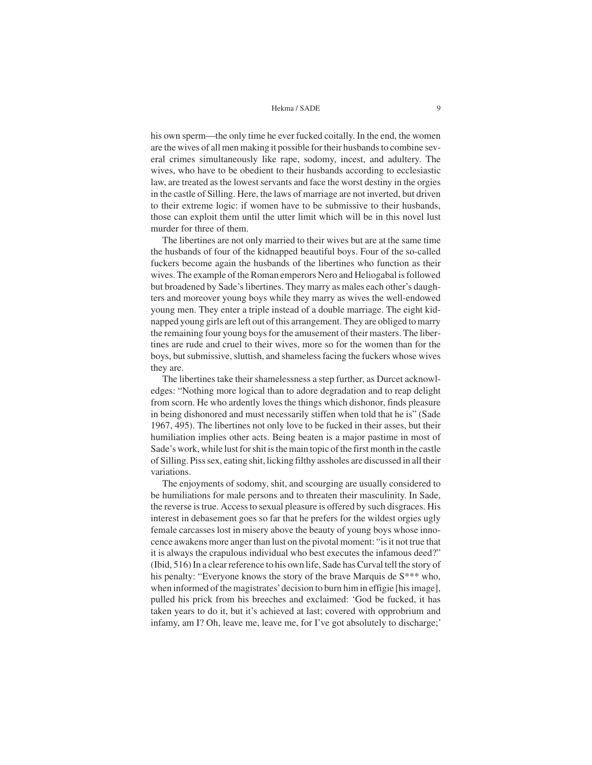his own sperm—the only time he ever fucked coitally. In the end, the women are the wives of all men making it possible for their husbands to combine several crimes simultaneously like rape, sodomy, incest, and adultery. The wives, who have to be obedient to their husbands according to ecclesiastic law, are treated as the lowest servants and face the worst destiny in the orgies in the castle of Silling. Here, the laws of marriage are not inverted, but driven to their extreme logic: if women have to be submissive to their husbands, those can exploit them until the utter limit which will be in this novel lust murder for three of them.

The libertines are not only married to their wives but are at the same time the husbands of four of the kidnapped beautiful boys. Four of the so-called fuckers become again the husbands of the libertines who function as their wives. The example of the Roman emperors Nero and Heliogabal is followed but broadened by Sade's libertines. They marry as males each other's daughters and moreover young boys while they marry as wives the well-endowed young men. They enter a triple instead of a double marriage. The eight kidnapped young girls are left out of this arrangement. They are obliged to marry the remaining four young boys for the amusement of their masters. The libertines are rude and cruel to their wives, more so for the women than for the boys, but submissive, sluttish, and shameless facing the fuckers whose wives they are.

The libertines take their shamelessness a step further, as Durcet acknowledges: "Nothing more logical than to adore degradation and to reap delight from scorn. He who ardently loves the things which dishonor, finds pleasure in being dishonored and must necessarily stiffen when told that he is" (Sade 1967, 495). The libertines not only love to be fucked in their asses, but their humiliation implies other acts. Being beaten is a major pastime in most of Sade's work, while lust for shit is the main topic of the first month in the castle of Silling. Piss sex, eating shit, licking filthy assholes are discussed in all their variations.

The enjoyments of sodomy, shit, and scourging are usually considered to be humiliations for male persons and to threaten their masculinity. In Sade, the reverse is true. Access to sexual pleasure is offered by such disgraces. His interest in debasement goes so far that he prefers for the wildest orgies ugly female carcasses lost in misery above the beauty of young boys whose innocence awakens more anger than lust on the pivotal moment: "is it not true that it is always the crapulous individual who best executes the infamous deed?" (Ibid, 516) In a clear reference to his own life, Sade has Curval tell the story of his penalty: "Everyone knows the story of the brave Marquis de S\*\*\* who, when informed of the magistrates' decision to burn him in effigie [his image], pulled his prick from his breeches and exclaimed: 'God be fucked, it has taken years to do it, but it's achieved at last; covered with opprobrium and infamy, am I? Oh, leave me, leave me, for I've got absolutely to discharge;'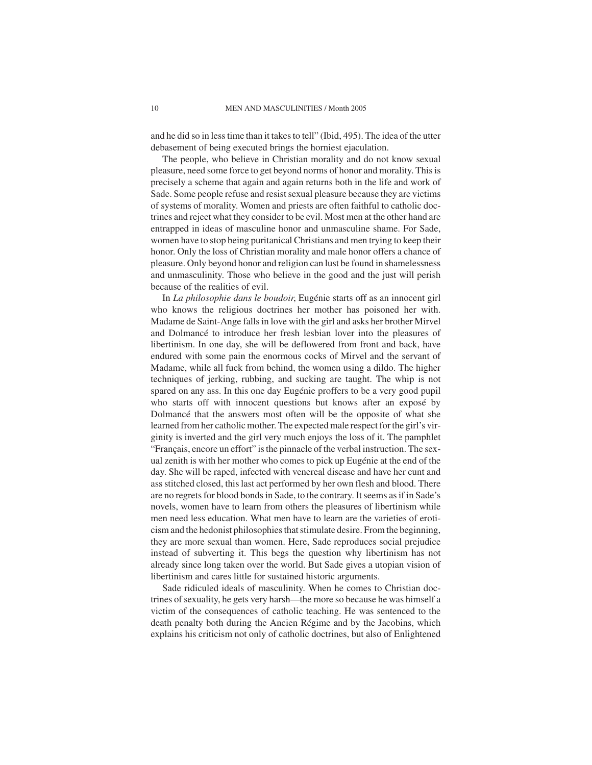and he did so in less time than it takes to tell" (Ibid, 495). The idea of the utter debasement of being executed brings the horniest ejaculation.

The people, who believe in Christian morality and do not know sexual pleasure, need some force to get beyond norms of honor and morality. This is precisely a scheme that again and again returns both in the life and work of Sade. Some people refuse and resist sexual pleasure because they are victims of systems of morality. Women and priests are often faithful to catholic doctrines and reject what they consider to be evil. Most men at the other hand are entrapped in ideas of masculine honor and unmasculine shame. For Sade, women have to stop being puritanical Christians and men trying to keep their honor. Only the loss of Christian morality and male honor offers a chance of pleasure. Only beyond honor and religion can lust be found in shamelessness and unmasculinity. Those who believe in the good and the just will perish because of the realities of evil.

In *La philosophie dans le boudoir*, Eugénie starts off as an innocent girl who knows the religious doctrines her mother has poisoned her with. Madame de Saint-Ange falls in love with the girl and asks her brother Mirvel and Dolmancé to introduce her fresh lesbian lover into the pleasures of libertinism. In one day, she will be deflowered from front and back, have endured with some pain the enormous cocks of Mirvel and the servant of Madame, while all fuck from behind, the women using a dildo. The higher techniques of jerking, rubbing, and sucking are taught. The whip is not spared on any ass. In this one day Eugénie proffers to be a very good pupil who starts off with innocent questions but knows after an exposé by Dolmancé that the answers most often will be the opposite of what she learned from her catholic mother. The expected male respect for the girl's virginity is inverted and the girl very much enjoys the loss of it. The pamphlet "Français, encore un effort" is the pinnacle of the verbal instruction. The sexual zenith is with her mother who comes to pick up Eugénie at the end of the day. She will be raped, infected with venereal disease and have her cunt and ass stitched closed, this last act performed by her own flesh and blood. There are no regrets for blood bonds in Sade, to the contrary. It seems as if in Sade's novels, women have to learn from others the pleasures of libertinism while men need less education. What men have to learn are the varieties of eroticism and the hedonist philosophies that stimulate desire. From the beginning, they are more sexual than women. Here, Sade reproduces social prejudice instead of subverting it. This begs the question why libertinism has not already since long taken over the world. But Sade gives a utopian vision of libertinism and cares little for sustained historic arguments.

Sade ridiculed ideals of masculinity. When he comes to Christian doctrines of sexuality, he gets very harsh—the more so because he was himself a victim of the consequences of catholic teaching. He was sentenced to the death penalty both during the Ancien Régime and by the Jacobins, which explains his criticism not only of catholic doctrines, but also of Enlightened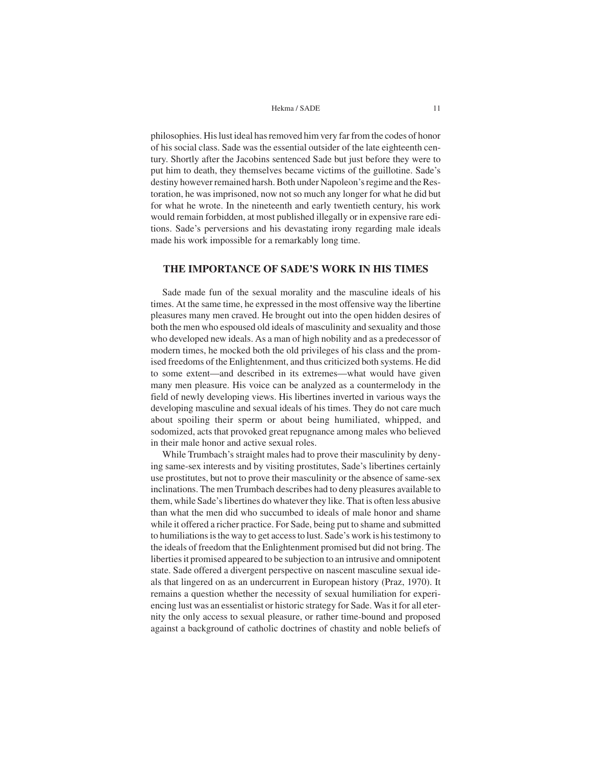philosophies. His lust ideal has removed him very far from the codes of honor of his social class. Sade was the essential outsider of the late eighteenth century. Shortly after the Jacobins sentenced Sade but just before they were to put him to death, they themselves became victims of the guillotine. Sade's destiny however remained harsh. Both under Napoleon's regime and the Restoration, he was imprisoned, now not so much any longer for what he did but for what he wrote. In the nineteenth and early twentieth century, his work would remain forbidden, at most published illegally or in expensive rare editions. Sade's perversions and his devastating irony regarding male ideals made his work impossible for a remarkably long time.

# **THE IMPORTANCE OF SADE'S WORK IN HIS TIMES**

Sade made fun of the sexual morality and the masculine ideals of his times. At the same time, he expressed in the most offensive way the libertine pleasures many men craved. He brought out into the open hidden desires of both the men who espoused old ideals of masculinity and sexuality and those who developed new ideals. As a man of high nobility and as a predecessor of modern times, he mocked both the old privileges of his class and the promised freedoms of the Enlightenment, and thus criticized both systems. He did to some extent—and described in its extremes—what would have given many men pleasure. His voice can be analyzed as a countermelody in the field of newly developing views. His libertines inverted in various ways the developing masculine and sexual ideals of his times. They do not care much about spoiling their sperm or about being humiliated, whipped, and sodomized, acts that provoked great repugnance among males who believed in their male honor and active sexual roles.

While Trumbach's straight males had to prove their masculinity by denying same-sex interests and by visiting prostitutes, Sade's libertines certainly use prostitutes, but not to prove their masculinity or the absence of same-sex inclinations. The men Trumbach describes had to deny pleasures available to them, while Sade's libertines do whatever they like. That is often less abusive than what the men did who succumbed to ideals of male honor and shame while it offered a richer practice. For Sade, being put to shame and submitted to humiliations is the way to get access to lust. Sade's work is his testimony to the ideals of freedom that the Enlightenment promised but did not bring. The liberties it promised appeared to be subjection to an intrusive and omnipotent state. Sade offered a divergent perspective on nascent masculine sexual ideals that lingered on as an undercurrent in European history (Praz, 1970). It remains a question whether the necessity of sexual humiliation for experiencing lust was an essentialist or historic strategy for Sade. Was it for all eternity the only access to sexual pleasure, or rather time-bound and proposed against a background of catholic doctrines of chastity and noble beliefs of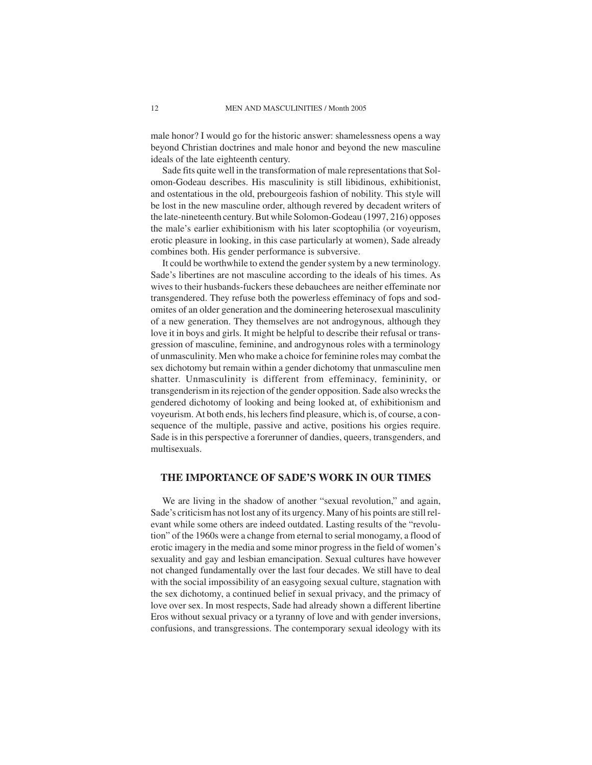male honor? I would go for the historic answer: shamelessness opens a way beyond Christian doctrines and male honor and beyond the new masculine ideals of the late eighteenth century.

Sade fits quite well in the transformation of male representations that Solomon-Godeau describes. His masculinity is still libidinous, exhibitionist, and ostentatious in the old, prebourgeois fashion of nobility. This style will be lost in the new masculine order, although revered by decadent writers of the late-nineteenth century. But while Solomon-Godeau (1997, 216) opposes the male's earlier exhibitionism with his later scoptophilia (or voyeurism, erotic pleasure in looking, in this case particularly at women), Sade already combines both. His gender performance is subversive.

It could be worthwhile to extend the gender system by a new terminology. Sade's libertines are not masculine according to the ideals of his times. As wives to their husbands-fuckers these debauchees are neither effeminate nor transgendered. They refuse both the powerless effeminacy of fops and sodomites of an older generation and the domineering heterosexual masculinity of a new generation. They themselves are not androgynous, although they love it in boys and girls. It might be helpful to describe their refusal or transgression of masculine, feminine, and androgynous roles with a terminology of unmasculinity. Men who make a choice for feminine roles may combat the sex dichotomy but remain within a gender dichotomy that unmasculine men shatter. Unmasculinity is different from effeminacy, femininity, or transgenderism in its rejection of the gender opposition. Sade also wrecks the gendered dichotomy of looking and being looked at, of exhibitionism and voyeurism. At both ends, his lechers find pleasure, which is, of course, a consequence of the multiple, passive and active, positions his orgies require. Sade is in this perspective a forerunner of dandies, queers, transgenders, and multisexuals.

# **THE IMPORTANCE OF SADE'S WORK IN OUR TIMES**

We are living in the shadow of another "sexual revolution," and again, Sade's criticism has not lost any of its urgency. Many of his points are still relevant while some others are indeed outdated. Lasting results of the "revolution" of the 1960s were a change from eternal to serial monogamy, a flood of erotic imagery in the media and some minor progress in the field of women's sexuality and gay and lesbian emancipation. Sexual cultures have however not changed fundamentally over the last four decades. We still have to deal with the social impossibility of an easygoing sexual culture, stagnation with the sex dichotomy, a continued belief in sexual privacy, and the primacy of love over sex. In most respects, Sade had already shown a different libertine Eros without sexual privacy or a tyranny of love and with gender inversions, confusions, and transgressions. The contemporary sexual ideology with its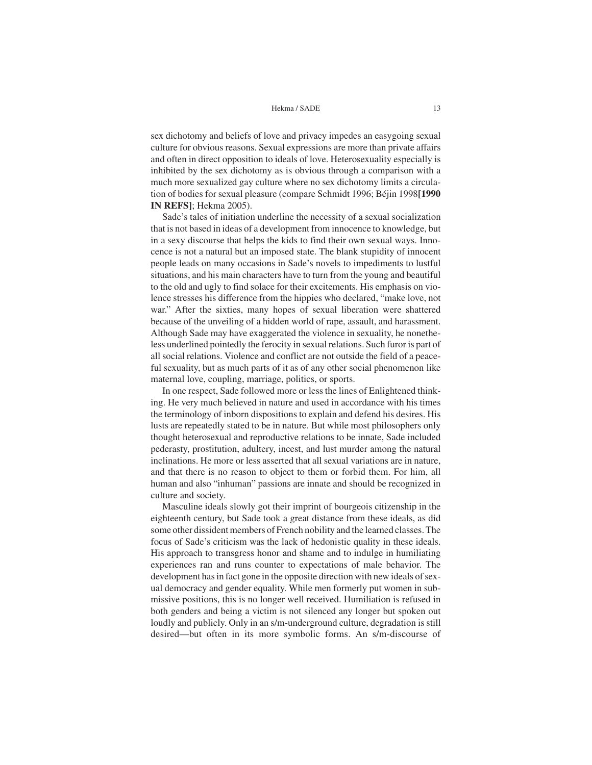sex dichotomy and beliefs of love and privacy impedes an easygoing sexual culture for obvious reasons. Sexual expressions are more than private affairs and often in direct opposition to ideals of love. Heterosexuality especially is inhibited by the sex dichotomy as is obvious through a comparison with a much more sexualized gay culture where no sex dichotomy limits a circulation of bodies for sexual pleasure (compare Schmidt 1996; Béjin 1998**[1990 IN REFS]**; Hekma 2005).

Sade's tales of initiation underline the necessity of a sexual socialization that is not based in ideas of a development from innocence to knowledge, but in a sexy discourse that helps the kids to find their own sexual ways. Innocence is not a natural but an imposed state. The blank stupidity of innocent people leads on many occasions in Sade's novels to impediments to lustful situations, and his main characters have to turn from the young and beautiful to the old and ugly to find solace for their excitements. His emphasis on violence stresses his difference from the hippies who declared, "make love, not war." After the sixties, many hopes of sexual liberation were shattered because of the unveiling of a hidden world of rape, assault, and harassment. Although Sade may have exaggerated the violence in sexuality, he nonetheless underlined pointedly the ferocity in sexual relations. Such furor is part of all social relations. Violence and conflict are not outside the field of a peaceful sexuality, but as much parts of it as of any other social phenomenon like maternal love, coupling, marriage, politics, or sports.

In one respect, Sade followed more or less the lines of Enlightened thinking. He very much believed in nature and used in accordance with his times the terminology of inborn dispositions to explain and defend his desires. His lusts are repeatedly stated to be in nature. But while most philosophers only thought heterosexual and reproductive relations to be innate, Sade included pederasty, prostitution, adultery, incest, and lust murder among the natural inclinations. He more or less asserted that all sexual variations are in nature, and that there is no reason to object to them or forbid them. For him, all human and also "inhuman" passions are innate and should be recognized in culture and society.

Masculine ideals slowly got their imprint of bourgeois citizenship in the eighteenth century, but Sade took a great distance from these ideals, as did some other dissident members of French nobility and the learned classes. The focus of Sade's criticism was the lack of hedonistic quality in these ideals. His approach to transgress honor and shame and to indulge in humiliating experiences ran and runs counter to expectations of male behavior. The development has in fact gone in the opposite direction with new ideals of sexual democracy and gender equality. While men formerly put women in submissive positions, this is no longer well received. Humiliation is refused in both genders and being a victim is not silenced any longer but spoken out loudly and publicly. Only in an s/m-underground culture, degradation is still desired—but often in its more symbolic forms. An s/m-discourse of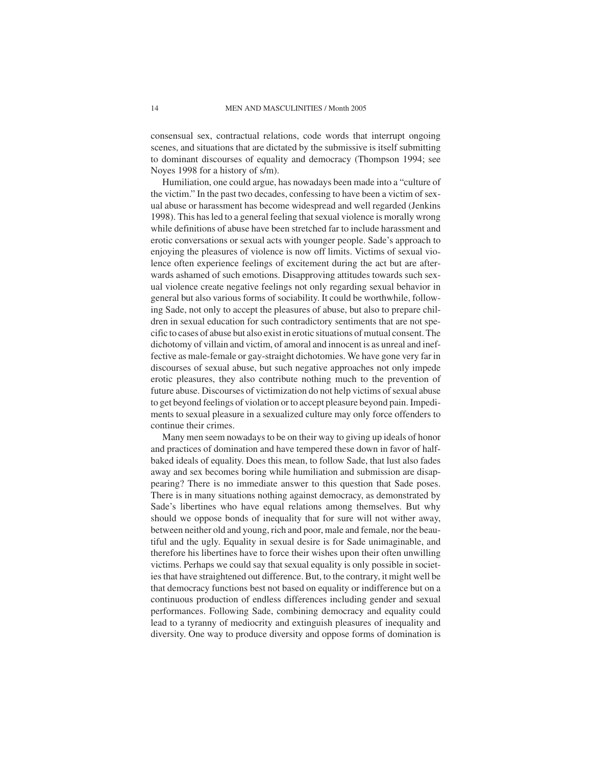consensual sex, contractual relations, code words that interrupt ongoing scenes, and situations that are dictated by the submissive is itself submitting to dominant discourses of equality and democracy (Thompson 1994; see Noyes 1998 for a history of s/m).

Humiliation, one could argue, has nowadays been made into a "culture of the victim." In the past two decades, confessing to have been a victim of sexual abuse or harassment has become widespread and well regarded (Jenkins 1998). This has led to a general feeling that sexual violence is morally wrong while definitions of abuse have been stretched far to include harassment and erotic conversations or sexual acts with younger people. Sade's approach to enjoying the pleasures of violence is now off limits. Victims of sexual violence often experience feelings of excitement during the act but are afterwards ashamed of such emotions. Disapproving attitudes towards such sexual violence create negative feelings not only regarding sexual behavior in general but also various forms of sociability. It could be worthwhile, following Sade, not only to accept the pleasures of abuse, but also to prepare children in sexual education for such contradictory sentiments that are not specific to cases of abuse but also exist in erotic situations of mutual consent. The dichotomy of villain and victim, of amoral and innocent is as unreal and ineffective as male-female or gay-straight dichotomies. We have gone very far in discourses of sexual abuse, but such negative approaches not only impede erotic pleasures, they also contribute nothing much to the prevention of future abuse. Discourses of victimization do not help victims of sexual abuse to get beyond feelings of violation or to accept pleasure beyond pain. Impediments to sexual pleasure in a sexualized culture may only force offenders to continue their crimes.

Many men seem nowadays to be on their way to giving up ideals of honor and practices of domination and have tempered these down in favor of halfbaked ideals of equality. Does this mean, to follow Sade, that lust also fades away and sex becomes boring while humiliation and submission are disappearing? There is no immediate answer to this question that Sade poses. There is in many situations nothing against democracy, as demonstrated by Sade's libertines who have equal relations among themselves. But why should we oppose bonds of inequality that for sure will not wither away, between neither old and young, rich and poor, male and female, nor the beautiful and the ugly. Equality in sexual desire is for Sade unimaginable, and therefore his libertines have to force their wishes upon their often unwilling victims. Perhaps we could say that sexual equality is only possible in societies that have straightened out difference. But, to the contrary, it might well be that democracy functions best not based on equality or indifference but on a continuous production of endless differences including gender and sexual performances. Following Sade, combining democracy and equality could lead to a tyranny of mediocrity and extinguish pleasures of inequality and diversity. One way to produce diversity and oppose forms of domination is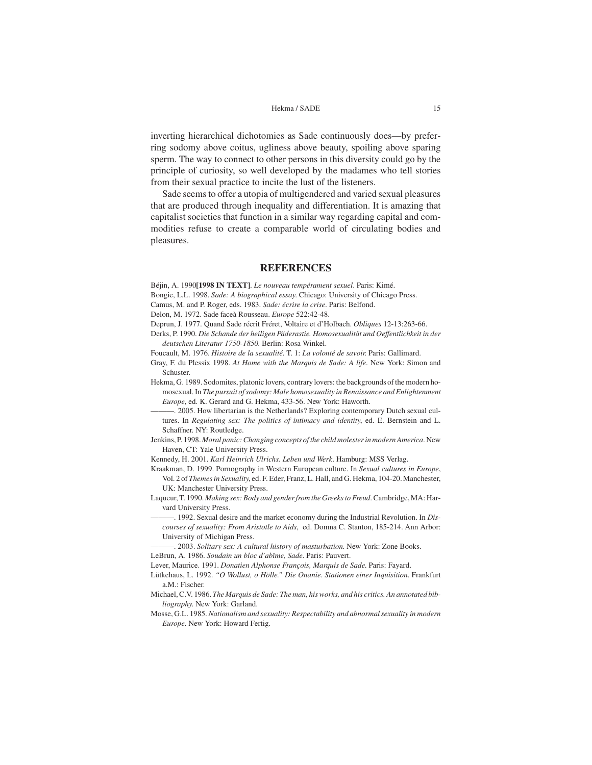inverting hierarchical dichotomies as Sade continuously does—by preferring sodomy above coitus, ugliness above beauty, spoiling above sparing sperm. The way to connect to other persons in this diversity could go by the principle of curiosity, so well developed by the madames who tell stories from their sexual practice to incite the lust of the listeners.

Sade seems to offer a utopia of multigendered and varied sexual pleasures that are produced through inequality and differentiation. It is amazing that capitalist societies that function in a similar way regarding capital and commodities refuse to create a comparable world of circulating bodies and pleasures.

# **REFERENCES**

Béjin, A. 1990**[1998 IN TEXT]**. *Le nouveau tempérament sexuel*. Paris: Kimé.

- Bongie, L.L. 1998. *Sade: A biographical essay*. Chicago: University of Chicago Press.
- Camus, M. and P. Roger, eds. 1983. *Sade: écrire la crise*. Paris: Belfond.
- Delon, M. 1972. Sade faceà Rousseau. *Europe* 522:42-48.
- Deprun, J. 1977. Quand Sade récrit Fréret, Voltaire et d'Holbach. *Obliques* 12-13:263-66.
- Derks, P. 1990. *Die Schande der heiligen Päderastie. Homosexualität und Oeffentlichkeit in der deutschen Literatur 1750-1850*. Berlin: Rosa Winkel.
- Foucault, M. 1976. *Histoire de la sexualité*. T. 1: *La volonté de savoir*. Paris: Gallimard.
- Gray, F. du Plessix 1998. *At Home with the Marquis de Sade: A life*. New York: Simon and Schuster.
- Hekma, G. 1989. Sodomites, platonic lovers, contrary lovers: the backgrounds of the modern homosexual. In *The pursuit of sodomy: Male homosexuality in Renaissance and Enlightenment Europe*, ed. K. Gerard and G. Hekma, 433-56. New York: Haworth.
	- -. 2005. How libertarian is the Netherlands? Exploring contemporary Dutch sexual cultures. In *Regulating sex: The politics of intimacy and identity*, ed. E. Bernstein and L. Schaffner. NY: Routledge.
- Jenkins, P. 1998.*Moral panic: Changing concepts of the child molester in modern America*. New Haven, CT: Yale University Press.

Kennedy, H. 2001. *Karl Heinrich Ulrichs. Leben und Werk*. Hamburg: MSS Verlag.

- Kraakman, D. 1999. Pornography in Western European culture. In *Sexual cultures in Europe*, Vol. 2 of *Themes in Sexuality*, ed. F. Eder, Franz, L. Hall, and G. Hekma, 104-20. Manchester, UK: Manchester University Press.
- Laqueur, T. 1990. *Making sex: Body and gender from the Greeks to Freud*. Cambridge, MA: Harvard University Press.
	- ———. 1992. Sexual desire and the market economy during the Industrial Revolution. In *Discourses of sexuality: From Aristotle to Aids*, ed. Domna C. Stanton, 185-214. Ann Arbor: University of Michigan Press.
- ———. 2003. *Solitary sex: A cultural history of masturbation*. New York: Zone Books. LeBrun, A. 1986. *Soudain un bloc d'abîme, Sade*. Paris: Pauvert.

- Lever, Maurice. 1991. *Donatien Alphonse François, Marquis de Sade*. Paris: Fayard.
- Lütkehaus, L. 1992. *"O Wollust, o Hölle." Die Onanie. Stationen einer Inquisition*. Frankfurt a.M.: Fischer.
- Michael, C.V. 1986. *The Marquis de Sade: The man, his works, and his critics. An annotated bibliography*. New York: Garland.
- Mosse, G.L. 1985.*Nationalism and sexuality: Respectability and abnormal sexuality in modern Europe*. New York: Howard Fertig.